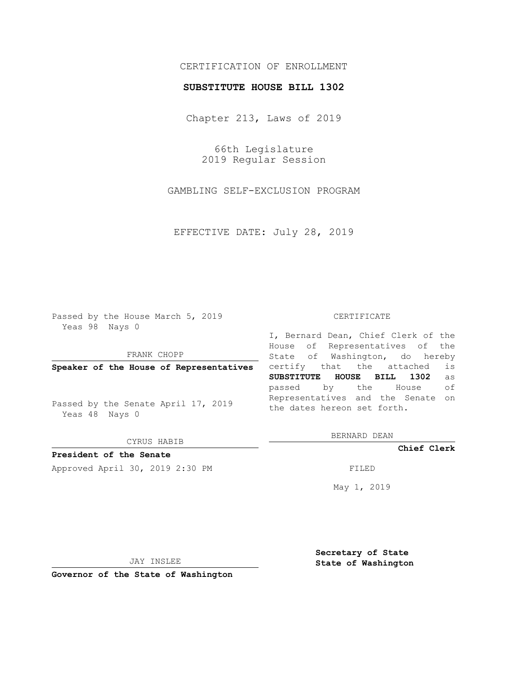# CERTIFICATION OF ENROLLMENT

### **SUBSTITUTE HOUSE BILL 1302**

Chapter 213, Laws of 2019

66th Legislature 2019 Regular Session

GAMBLING SELF-EXCLUSION PROGRAM

EFFECTIVE DATE: July 28, 2019

Passed by the House March 5, 2019 Yeas 98 Nays 0

FRANK CHOPP

**Speaker of the House of Representatives**

Passed by the Senate April 17, 2019 Yeas 48 Nays 0

CYRUS HABIB

**President of the Senate**

Approved April 30, 2019 2:30 PM FILED

#### CERTIFICATE

I, Bernard Dean, Chief Clerk of the House of Representatives of the State of Washington, do hereby certify that the attached is **SUBSTITUTE HOUSE BILL 1302** as passed by the House of Representatives and the Senate on the dates hereon set forth.

BERNARD DEAN

**Chief Clerk**

May 1, 2019

JAY INSLEE

**Governor of the State of Washington**

**Secretary of State State of Washington**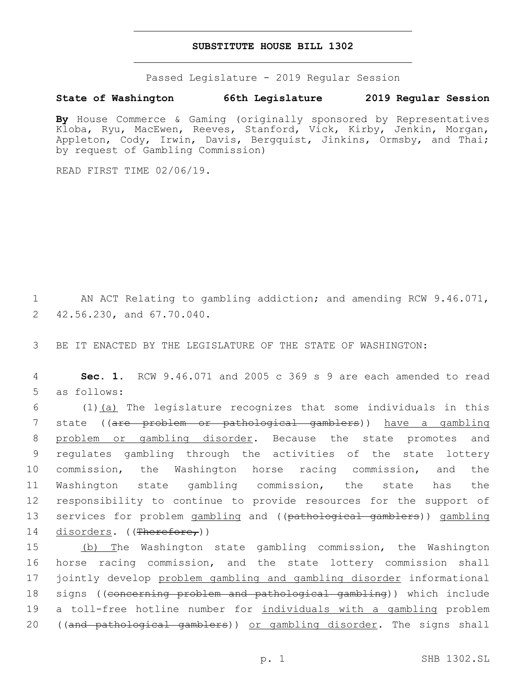### **SUBSTITUTE HOUSE BILL 1302**

Passed Legislature - 2019 Regular Session

## **State of Washington 66th Legislature 2019 Regular Session**

**By** House Commerce & Gaming (originally sponsored by Representatives Kloba, Ryu, MacEwen, Reeves, Stanford, Vick, Kirby, Jenkin, Morgan, Appleton, Cody, Irwin, Davis, Bergquist, Jinkins, Ormsby, and Thai; by request of Gambling Commission)

READ FIRST TIME 02/06/19.

1 AN ACT Relating to gambling addiction; and amending RCW 9.46.071, 2 42.56.230, and 67.70.040.

3 BE IT ENACTED BY THE LEGISLATURE OF THE STATE OF WASHINGTON:

4 **Sec. 1.** RCW 9.46.071 and 2005 c 369 s 9 are each amended to read 5 as follows:

 $(1)$   $(a)$  The legislature recognizes that some individuals in this state ((are problem or pathological gamblers)) have a gambling problem or gambling disorder. Because the state promotes and regulates gambling through the activities of the state lottery commission, the Washington horse racing commission, and the Washington state gambling commission, the state has the responsibility to continue to provide resources for the support of 13 services for problem gambling and ((pathological gamblers)) gambling 14 disorders. ((Therefore,))

15 (b) The Washington state gambling commission, the Washington 16 horse racing commission, and the state lottery commission shall 17 jointly develop problem gambling and gambling disorder informational 18 signs ((concerning problem and pathological gambling)) which include 19 a toll-free hotline number for individuals with a gambling problem 20 ((and pathological gamblers)) or gambling disorder. The signs shall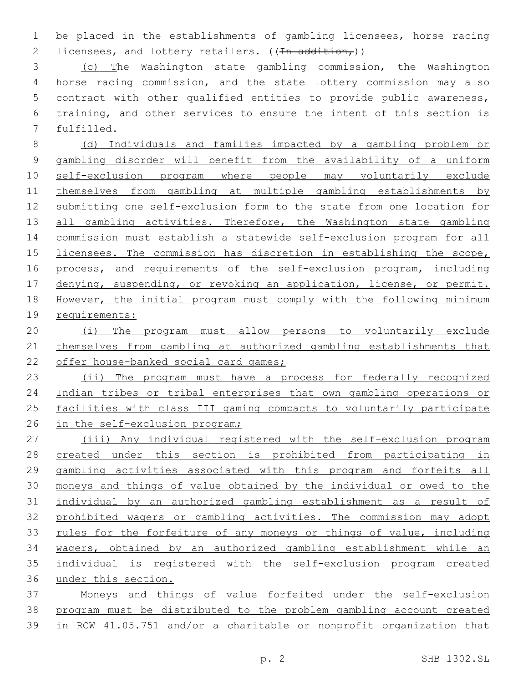be placed in the establishments of gambling licensees, horse racing 2 licensees, and lottery retailers.  $((\text{In addition}_{\tau}))$ 

 (c) The Washington state gambling commission, the Washington horse racing commission, and the state lottery commission may also contract with other qualified entities to provide public awareness, training, and other services to ensure the intent of this section is 7 fulfilled.

 (d) Individuals and families impacted by a gambling problem or gambling disorder will benefit from the availability of a uniform self-exclusion program where people may voluntarily exclude themselves from gambling at multiple gambling establishments by submitting one self-exclusion form to the state from one location for 13 all gambling activities. Therefore, the Washington state gambling commission must establish a statewide self-exclusion program for all licensees. The commission has discretion in establishing the scope, process, and requirements of the self-exclusion program, including 17 denying, suspending, or revoking an application, license, or permit. However, the initial program must comply with the following minimum requirements:

 (i) The program must allow persons to voluntarily exclude themselves from gambling at authorized gambling establishments that 22 offer house-banked social card games;

 (ii) The program must have a process for federally recognized Indian tribes or tribal enterprises that own gambling operations or facilities with class III gaming compacts to voluntarily participate 26 in the self-exclusion program;

 (iii) Any individual registered with the self-exclusion program created under this section is prohibited from participating in gambling activities associated with this program and forfeits all moneys and things of value obtained by the individual or owed to the individual by an authorized gambling establishment as a result of prohibited wagers or gambling activities. The commission may adopt rules for the forfeiture of any moneys or things of value, including wagers, obtained by an authorized gambling establishment while an individual is registered with the self-exclusion program created under this section.

 Moneys and things of value forfeited under the self-exclusion program must be distributed to the problem gambling account created in RCW 41.05.751 and/or a charitable or nonprofit organization that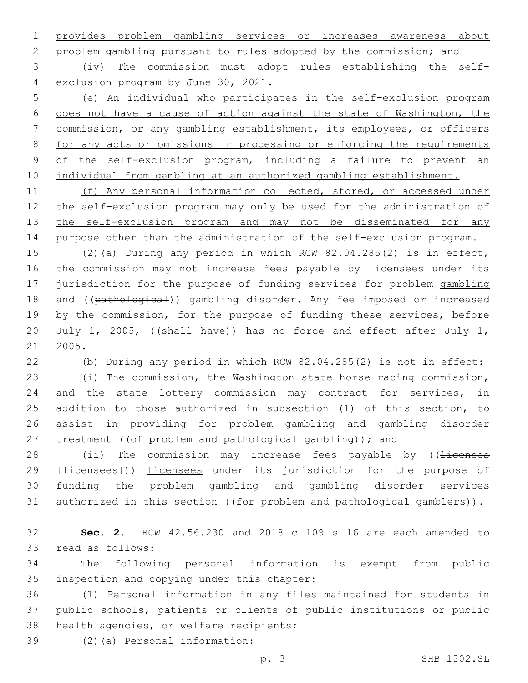provides problem gambling services or increases awareness about

problem gambling pursuant to rules adopted by the commission; and

 (iv) The commission must adopt rules establishing the self-exclusion program by June 30, 2021.

 (e) An individual who participates in the self-exclusion program does not have a cause of action against the state of Washington, the commission, or any gambling establishment, its employees, or officers for any acts or omissions in processing or enforcing the requirements of the self-exclusion program, including a failure to prevent an individual from gambling at an authorized gambling establishment.

11 (f) Any personal information collected, stored, or accessed under the self-exclusion program may only be used for the administration of the self-exclusion program and may not be disseminated for any purpose other than the administration of the self-exclusion program.

 (2)(a) During any period in which RCW 82.04.285(2) is in effect, the commission may not increase fees payable by licensees under its jurisdiction for the purpose of funding services for problem gambling 18 and ((pathological)) gambling disorder. Any fee imposed or increased by the commission, for the purpose of funding these services, before 20 July 1, 2005, ((shall have)) has no force and effect after July 1, 2005.

(b) During any period in which RCW 82.04.285(2) is not in effect:

 (i) The commission, the Washington state horse racing commission, and the state lottery commission may contract for services, in addition to those authorized in subsection (1) of this section, to assist in providing for problem gambling and gambling disorder 27 treatment ((of problem and pathological gambling)); and

28 (ii) The commission may increase fees payable by ((<del>licenses</del> 29 <del>[licensees]</del>)) licensees under its jurisdiction for the purpose of funding the problem gambling and gambling disorder services 31 authorized in this section ((for problem and pathological gamblers)).

 **Sec. 2.** RCW 42.56.230 and 2018 c 109 s 16 are each amended to 33 read as follows:

 The following personal information is exempt from public 35 inspection and copying under this chapter:

 (1) Personal information in any files maintained for students in public schools, patients or clients of public institutions or public 38 health agencies, or welfare recipients;

(2)(a) Personal information:39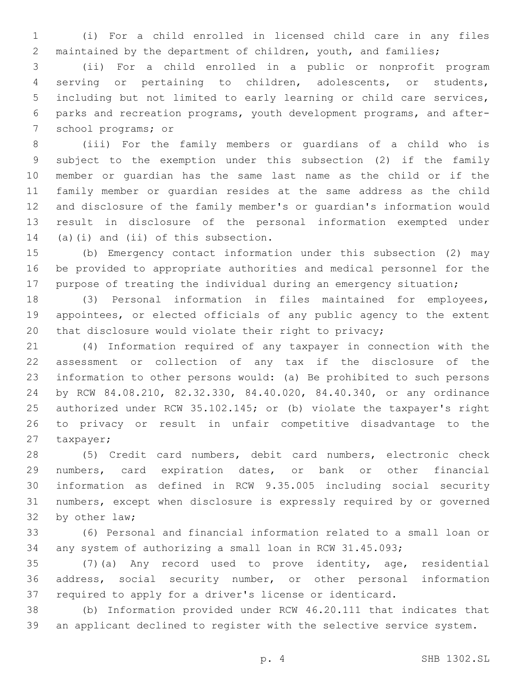(i) For a child enrolled in licensed child care in any files maintained by the department of children, youth, and families;

 (ii) For a child enrolled in a public or nonprofit program serving or pertaining to children, adolescents, or students, including but not limited to early learning or child care services, parks and recreation programs, youth development programs, and after-7 school programs; or

 (iii) For the family members or guardians of a child who is subject to the exemption under this subsection (2) if the family member or guardian has the same last name as the child or if the family member or guardian resides at the same address as the child and disclosure of the family member's or guardian's information would result in disclosure of the personal information exempted under 14 (a)(i) and (ii) of this subsection.

 (b) Emergency contact information under this subsection (2) may be provided to appropriate authorities and medical personnel for the 17 purpose of treating the individual during an emergency situation;

 (3) Personal information in files maintained for employees, appointees, or elected officials of any public agency to the extent that disclosure would violate their right to privacy;

 (4) Information required of any taxpayer in connection with the assessment or collection of any tax if the disclosure of the information to other persons would: (a) Be prohibited to such persons by RCW 84.08.210, 82.32.330, 84.40.020, 84.40.340, or any ordinance authorized under RCW 35.102.145; or (b) violate the taxpayer's right to privacy or result in unfair competitive disadvantage to the 27 taxpayer;

 (5) Credit card numbers, debit card numbers, electronic check numbers, card expiration dates, or bank or other financial information as defined in RCW 9.35.005 including social security numbers, except when disclosure is expressly required by or governed 32 by other law;

 (6) Personal and financial information related to a small loan or any system of authorizing a small loan in RCW 31.45.093;

 (7)(a) Any record used to prove identity, age, residential address, social security number, or other personal information required to apply for a driver's license or identicard.

 (b) Information provided under RCW 46.20.111 that indicates that an applicant declined to register with the selective service system.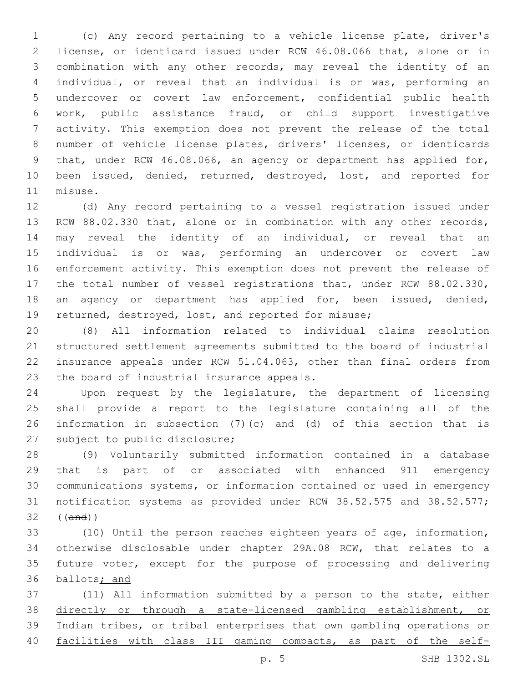(c) Any record pertaining to a vehicle license plate, driver's license, or identicard issued under RCW 46.08.066 that, alone or in combination with any other records, may reveal the identity of an individual, or reveal that an individual is or was, performing an undercover or covert law enforcement, confidential public health work, public assistance fraud, or child support investigative activity. This exemption does not prevent the release of the total number of vehicle license plates, drivers' licenses, or identicards that, under RCW 46.08.066, an agency or department has applied for, been issued, denied, returned, destroyed, lost, and reported for 11 misuse.

 (d) Any record pertaining to a vessel registration issued under 13 RCW 88.02.330 that, alone or in combination with any other records, may reveal the identity of an individual, or reveal that an individual is or was, performing an undercover or covert law enforcement activity. This exemption does not prevent the release of the total number of vessel registrations that, under RCW 88.02.330, an agency or department has applied for, been issued, denied, returned, destroyed, lost, and reported for misuse;

 (8) All information related to individual claims resolution structured settlement agreements submitted to the board of industrial insurance appeals under RCW 51.04.063, other than final orders from 23 the board of industrial insurance appeals.

 Upon request by the legislature, the department of licensing shall provide a report to the legislature containing all of the information in subsection (7)(c) and (d) of this section that is 27 subject to public disclosure;

 (9) Voluntarily submitted information contained in a database that is part of or associated with enhanced 911 emergency communications systems, or information contained or used in emergency notification systems as provided under RCW 38.52.575 and 38.52.577; ((and))

 (10) Until the person reaches eighteen years of age, information, otherwise disclosable under chapter 29A.08 RCW, that relates to a future voter, except for the purpose of processing and delivering ballots; and

 (11) All information submitted by a person to the state, either directly or through a state-licensed gambling establishment, or Indian tribes, or tribal enterprises that own gambling operations or 40 facilities with class III gaming compacts, as part of the self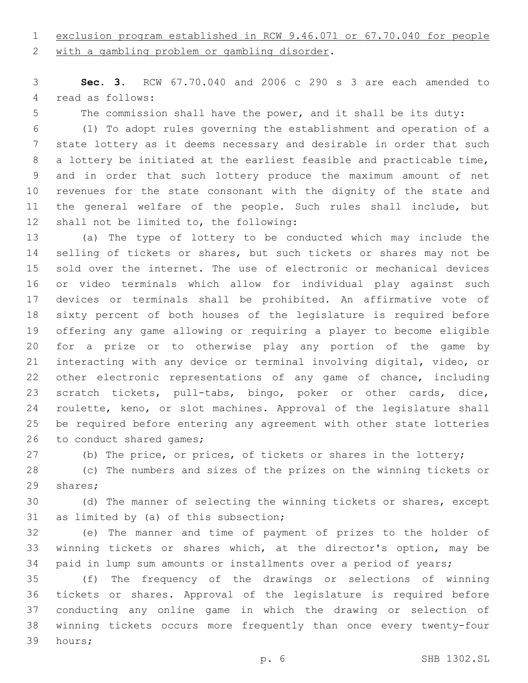exclusion program established in RCW 9.46.071 or 67.70.040 for people

2 with a gambling problem or gambling disorder.

 **Sec. 3.** RCW 67.70.040 and 2006 c 290 s 3 are each amended to 4 read as follows:

The commission shall have the power, and it shall be its duty:

 (1) To adopt rules governing the establishment and operation of a state lottery as it deems necessary and desirable in order that such a lottery be initiated at the earliest feasible and practicable time, and in order that such lottery produce the maximum amount of net revenues for the state consonant with the dignity of the state and the general welfare of the people. Such rules shall include, but 12 shall not be limited to, the following:

 (a) The type of lottery to be conducted which may include the 14 selling of tickets or shares, but such tickets or shares may not be sold over the internet. The use of electronic or mechanical devices or video terminals which allow for individual play against such devices or terminals shall be prohibited. An affirmative vote of sixty percent of both houses of the legislature is required before offering any game allowing or requiring a player to become eligible for a prize or to otherwise play any portion of the game by interacting with any device or terminal involving digital, video, or other electronic representations of any game of chance, including scratch tickets, pull-tabs, bingo, poker or other cards, dice, roulette, keno, or slot machines. Approval of the legislature shall be required before entering any agreement with other state lotteries 26 to conduct shared games;

(b) The price, or prices, of tickets or shares in the lottery;

 (c) The numbers and sizes of the prizes on the winning tickets or 29 shares;

 (d) The manner of selecting the winning tickets or shares, except 31 as limited by (a) of this subsection;

 (e) The manner and time of payment of prizes to the holder of winning tickets or shares which, at the director's option, may be paid in lump sum amounts or installments over a period of years;

 (f) The frequency of the drawings or selections of winning tickets or shares. Approval of the legislature is required before conducting any online game in which the drawing or selection of winning tickets occurs more frequently than once every twenty-four 39 hours;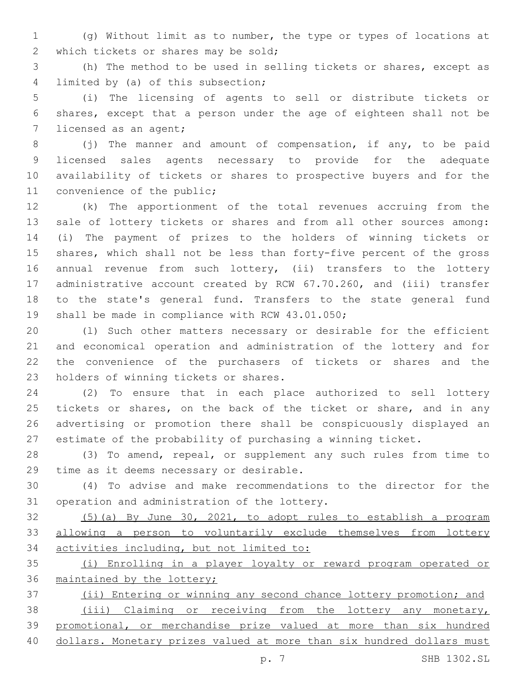(g) Without limit as to number, the type or types of locations at 2 which tickets or shares may be sold;

 (h) The method to be used in selling tickets or shares, except as 4 limited by (a) of this subsection;

 (i) The licensing of agents to sell or distribute tickets or shares, except that a person under the age of eighteen shall not be 7 licensed as an agent;

8 (j) The manner and amount of compensation, if any, to be paid licensed sales agents necessary to provide for the adequate availability of tickets or shares to prospective buyers and for the 11 convenience of the public;

 (k) The apportionment of the total revenues accruing from the sale of lottery tickets or shares and from all other sources among: (i) The payment of prizes to the holders of winning tickets or shares, which shall not be less than forty-five percent of the gross annual revenue from such lottery, (ii) transfers to the lottery administrative account created by RCW 67.70.260, and (iii) transfer to the state's general fund. Transfers to the state general fund 19 shall be made in compliance with RCW 43.01.050;

 (l) Such other matters necessary or desirable for the efficient and economical operation and administration of the lottery and for the convenience of the purchasers of tickets or shares and the 23 holders of winning tickets or shares.

 (2) To ensure that in each place authorized to sell lottery 25 tickets or shares, on the back of the ticket or share, and in any advertising or promotion there shall be conspicuously displayed an estimate of the probability of purchasing a winning ticket.

 (3) To amend, repeal, or supplement any such rules from time to 29 time as it deems necessary or desirable.

 (4) To advise and make recommendations to the director for the 31 operation and administration of the lottery.

 (5)(a) By June 30, 2021, to adopt rules to establish a program allowing a person to voluntarily exclude themselves from lottery activities including, but not limited to:

 (i) Enrolling in a player loyalty or reward program operated or 36 maintained by the lottery;

 (ii) Entering or winning any second chance lottery promotion; and (iii) Claiming or receiving from the lottery any monetary, promotional, or merchandise prize valued at more than six hundred dollars. Monetary prizes valued at more than six hundred dollars must